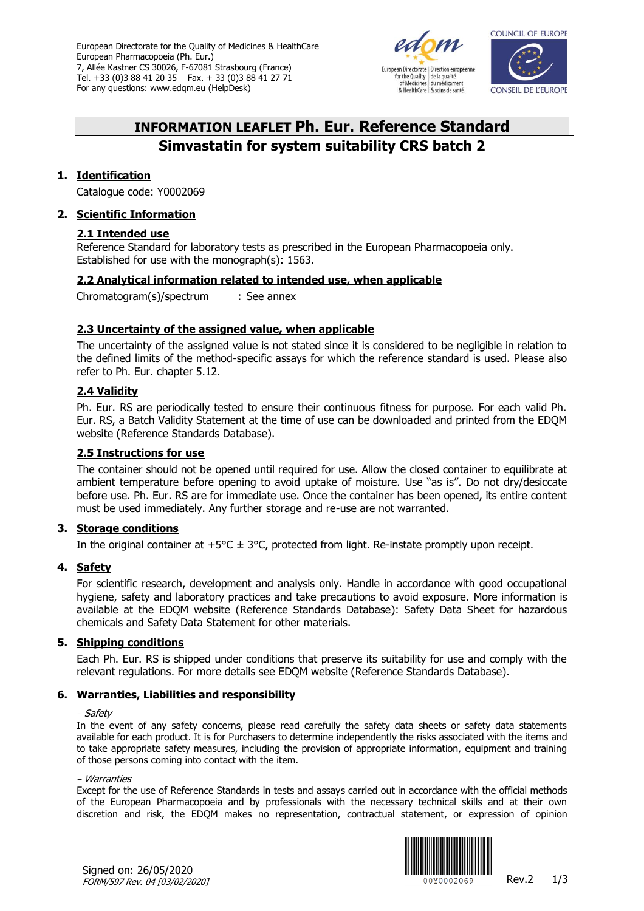European Directorate for the Quality of Medicines & HealthCare European Pharmacopoeia (Ph. Eur.) 7, Allée Kastner CS 30026, F-67081 Strasbourg (France) Tel. +33 (0)3 88 41 20 35 Fax. + 33 (0)3 88 41 27 71 For any questions: www.edqm.eu (HelpDesk)





# **INFORMATION LEAFLET Ph. Eur. Reference Standard Simvastatin for system suitability CRS batch 2**

## **1. Identification**

Catalogue code: Y0002069

# **2. Scientific Information**

# **2.1 Intended use**

Reference Standard for laboratory tests as prescribed in the European Pharmacopoeia only. Established for use with the monograph(s): 1563.

# **2.2 Analytical information related to intended use, when applicable**

Chromatogram(s)/spectrum : See annex

# **2.3 Uncertainty of the assigned value, when applicable**

The uncertainty of the assigned value is not stated since it is considered to be negligible in relation to the defined limits of the method-specific assays for which the reference standard is used. Please also refer to Ph. Eur. chapter 5.12.

# **2.4 Validity**

Ph. Eur. RS are periodically tested to ensure their continuous fitness for purpose. For each valid Ph. Eur. RS, a Batch Validity Statement at the time of use can be downloaded and printed from the EDQM website [\(Reference Standards Database\)](https://crs.edqm.eu/).

# **2.5 Instructions for use**

The container should not be opened until required for use. Allow the closed container to equilibrate at ambient temperature before opening to avoid uptake of moisture. Use "as is". Do not dry/desiccate before use. Ph. Eur. RS are for immediate use. Once the container has been opened, its entire content must be used immediately. Any further storage and re-use are not warranted.

## **3. Storage conditions**

In the original container at  $+5^{\circ}C \pm 3^{\circ}C$ , protected from light. Re-instate promptly upon receipt.

## **4. Safety**

For scientific research, development and analysis only. Handle in accordance with good occupational hygiene, safety and laboratory practices and take precautions to avoid exposure. More information is available at the EDQM website [\(Reference Standards Database\)](https://crs.edqm.eu/): Safety Data Sheet for hazardous chemicals and Safety Data Statement for other materials.

## **5. Shipping conditions**

Each Ph. Eur. RS is shipped under conditions that preserve its suitability for use and comply with the relevant regulations. For more details see EDQM website [\(Reference Standards Database\)](https://crs.edqm.eu/).

## **6. Warranties, Liabilities and responsibility**

#### - Safety

In the event of any safety concerns, please read carefully the safety data sheets or safety data statements available for each product. It is for Purchasers to determine independently the risks associated with the items and to take appropriate safety measures, including the provision of appropriate information, equipment and training of those persons coming into contact with the item.

#### - Warranties

Except for the use of Reference Standards in tests and assays carried out in accordance with the official methods of the European Pharmacopoeia and by professionals with the necessary technical skills and at their own discretion and risk, the EDQM makes no representation, contractual statement, or expression of opinion



Signed on: 26/05/2020 FORM/597 Rev. 04 [03/02/2020]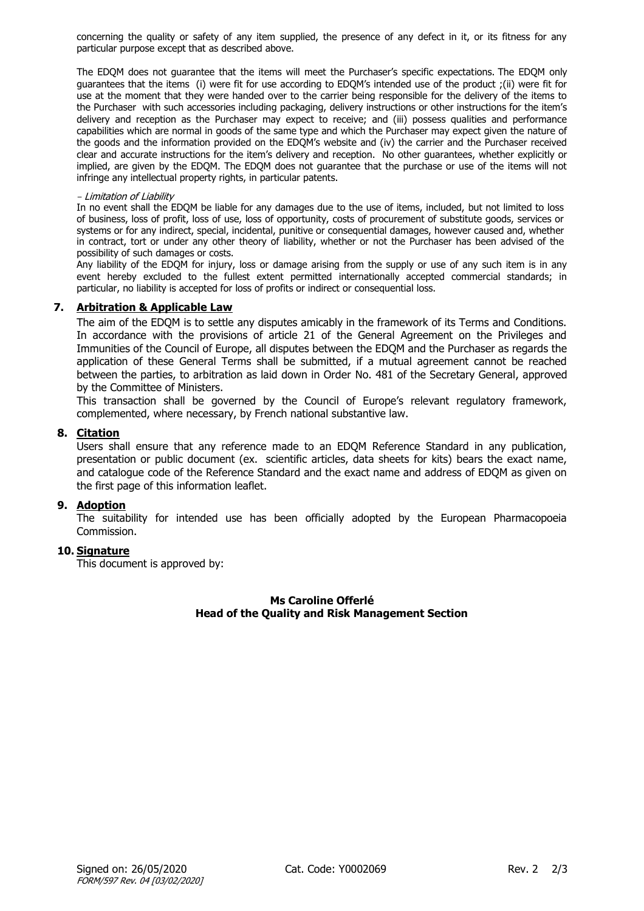concerning the quality or safety of any item supplied, the presence of any defect in it, or its fitness for any particular purpose except that as described above.

The EDQM does not guarantee that the items will meet the Purchaser's specific expectations. The EDQM only guarantees that the items (i) were fit for use according to EDQM's intended use of the product ;(ii) were fit for use at the moment that they were handed over to the carrier being responsible for the delivery of the items to the Purchaser with such accessories including packaging, delivery instructions or other instructions for the item's delivery and reception as the Purchaser may expect to receive; and (iii) possess qualities and performance capabilities which are normal in goods of the same type and which the Purchaser may expect given the nature of the goods and the information provided on the EDQM's website and (iv) the carrier and the Purchaser received clear and accurate instructions for the item's delivery and reception. No other guarantees, whether explicitly or implied, are given by the EDQM. The EDQM does not guarantee that the purchase or use of the items will not infringe any intellectual property rights, in particular patents.

#### - Limitation of Liability

In no event shall the EDQM be liable for any damages due to the use of items, included, but not limited to loss of business, loss of profit, loss of use, loss of opportunity, costs of procurement of substitute goods, services or systems or for any indirect, special, incidental, punitive or consequential damages, however caused and, whether in contract, tort or under any other theory of liability, whether or not the Purchaser has been advised of the possibility of such damages or costs.

Any liability of the EDQM for injury, loss or damage arising from the supply or use of any such item is in any event hereby excluded to the fullest extent permitted internationally accepted commercial standards; in particular, no liability is accepted for loss of profits or indirect or consequential loss.

## **7. Arbitration & Applicable Law**

The aim of the EDQM is to settle any disputes amicably in the framework of its Terms and Conditions. In accordance with the provisions of article 21 of the General Agreement on the Privileges and Immunities of the Council of Europe, all disputes between the EDQM and the Purchaser as regards the application of these General Terms shall be submitted, if a mutual agreement cannot be reached between the parties, to arbitration as laid down in Order [No. 481 of the Secretary General,](https://wcd.coe.int/ViewDoc.jsp?p=&id=1128483&Site=DGAL-CD&direct=true) approved by the Committee of Ministers.

This transaction shall be governed by the Council of Europe's relevant regulatory framework, complemented, where necessary, by French national substantive law.

#### **8. Citation**

Users shall ensure that any reference made to an EDQM Reference Standard in any publication, presentation or public document (ex. scientific articles, data sheets for kits) bears the exact name, and catalogue code of the Reference Standard and the exact name and address of EDQM as given on the first page of this information leaflet.

#### **9. Adoption**

The suitability for intended use has been officially adopted by the European Pharmacopoeia Commission.

## **10. Signature**

This document is approved by:

## **Ms Caroline Offerlé Head of the Quality and Risk Management Section**